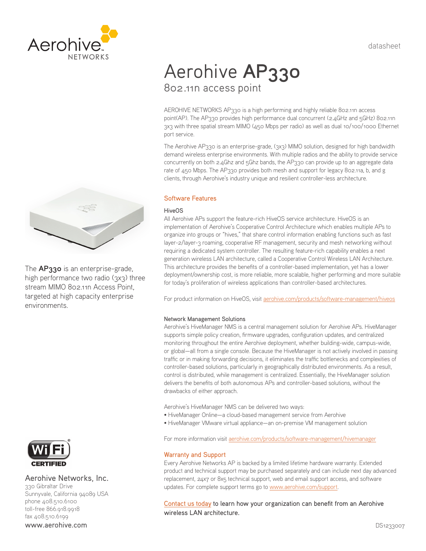datasheet





The **AP330** is an enterprise-grade, high performance two radio (3x3) three stream MIMO 802.11n Access Point, targeted at high capacity enterprise environments.



## Aerohive Networks, Inc.

330 Gibraltar Drive Sunnyvale, California 94089 USA phone 408.510.6100 toll-free 866.918.9918 fax 408.510.6199 www.aerohive.com

## Aerohive **AP330** 802.11n access point

AEROHIVE NETWORKS AP330 is a high performing and highly reliable 802.11n access point(AP). The AP330 provides high performance dual concurrent (2.4GHz and 5GHz) 802.11n 3x3 with three spatial stream MIMO (450 Mbps per radio) as well as dual 10/100/1000 Ethernet port service.

The Aerohive AP330 is an enterprise-grade, (3x3) MIMO solution, designed for high bandwidth demand wireless enterprise environments. With multiple radios and the ability to provide service concurrently on both 2.4Ghz and 5Ghz bands, the AP330 can provide up to an aggregate data rate of 450 Mbps. The AP330 provides both mesh and support for legacy 802.11a, b, and g clients, through Aerohive's industry unique and resilient controller-less architecture.

## Software Features

## HiveOS

All Aerohive APs support the feature-rich HiveOS service architecture. HiveOS is an implementation of Aerohive's Cooperative Control Architecture which enables multiple APs to organize into groups or "hives," that share control information enabling functions such as fast layer-2/layer-3 roaming, cooperative RF management, security and mesh networking without requiring a dedicated system controller. The resulting feature-rich capability enables a next generation wireless LAN architecture, called a Cooperative Control Wireless LAN Architecture. This architecture provides the benefits of a controller-based implementation, yet has a lower deployment/ownership cost, is more reliable, more scalable, higher performing and more suitable for today's proliferation of wireless applications than controller-based architectures.

For product information on HiveOS, visit aerohive.com/products/software-management/hiveos

## Network Management Solutions

Aerohive's HiveManager NMS is a central management solution for Aerohive APs. HiveManager supports simple policy creation, firmware upgrades, configuration updates, and centralized monitoring throughout the entire Aerohive deployment, whether building-wide, campus-wide, or global—all from a single console. Because the HiveManager is not actively involved in passing traffic or in making forwarding decisions, it eliminates the traffic bottlenecks and complexities of controller-based solutions, particularly in geographically distributed environments. As a result, control is distributed, while management is centralized. Essentially, the HiveManager solution delivers the benefits of both autonomous APs and controller-based solutions, without the drawbacks of either approach.

Aerohive's HiveManager NMS can be delivered two ways:

- HiveManager Online—a cloud-based management service from Aerohive
- HiveManager VMware virtual appliance—an on-premise VM management solution

For more information visit aerohive.com/products/software-management/hivemanager

## Warranty and Support

Every Aerohive Networks AP is backed by a limited lifetime hardware warranty. Extended product and technical support may be purchased separately and can include next day advanced replacement, 24x7 or 8x5 technical support, web and email support access, and software updates. For complete support terms go to www.aerohive.com/support.

Contact us today to learn how your organization can benefit from an Aerohive wireless LAN architecture.